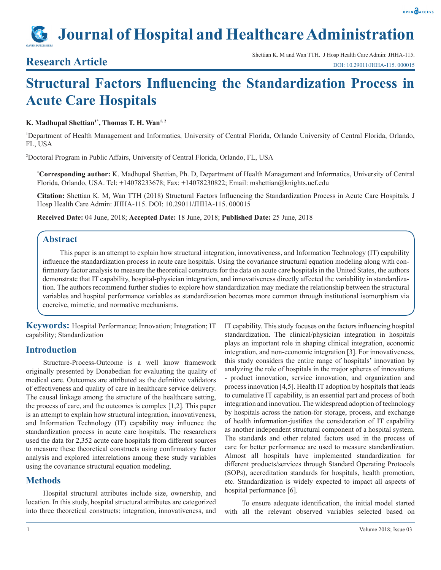# **Journal of Hospital and Healthcare Administration**

## **Structural Factors Influencing the Standardization Process in Acute Care Hospitals**

K. Madhupal Shettian<sup>1\*</sup>, Thomas T. H. Wan<sup>1,2</sup>

1 Department of Health Management and Informatics, University of Central Florida, Orlando University of Central Florida, Orlando, FL, USA

2 Doctoral Program in Public Affairs, University of Central Florida, Orlando, FL, USA

**\* Corresponding author:** K. Madhupal Shettian, Ph. D, Department of Health Management and Informatics, University of Central Florida, Orlando, USA. Tel: +14078233678; Fax: +14078230822; Email: mshettian@knights.ucf.edu

**Citation:** Shettian K. M, Wan TTH (2018) Structural Factors Influencing the Standardization Process in Acute Care Hospitals. J Hosp Health Care Admin: JHHA-115. DOI: 10.29011/JHHA-115. 000015

**Received Date:** 04 June, 2018; **Accepted Date:** 18 June, 2018; **Published Date:** 25 June, 2018

#### **Abstract**

This paper is an attempt to explain how structural integration, innovativeness, and Information Technology (IT) capability influence the standardization process in acute care hospitals. Using the covariance structural equation modeling along with confirmatory factor analysis to measure the theoretical constructs for the data on acute care hospitals in the United States, the authors demonstrate that IT capability, hospital-physician integration, and innovativeness directly affected the variability in standardization. The authors recommend further studies to explore how standardization may mediate the relationship between the structural variables and hospital performance variables as standardization becomes more common through institutional isomorphism via coercive, mimetic, and normative mechanisms.

**Keywords:** Hospital Performance; Innovation; Integration; IT capability; Standardization

#### **Introduction**

Structure-Process-Outcome is a well know framework originally presented by Donabedian for evaluating the quality of medical care. Outcomes are attributed as the definitive validators of effectiveness and quality of care in healthcare service delivery. The causal linkage among the structure of the healthcare setting, the process of care, and the outcomes is complex [1,2]. This paper is an attempt to explain how structural integration, innovativeness, and Information Technology (IT) capability may influence the standardization process in acute care hospitals. The researchers used the data for 2,352 acute care hospitals from different sources to measure these theoretical constructs using confirmatory factor analysis and explored interrelations among these study variables using the covariance structural equation modeling.

### **Methods**

Hospital structural attributes include size, ownership, and location. In this study, hospital structural attributes are categorized into three theoretical constructs: integration, innovativeness, and

IT capability. This study focuses on the factors influencing hospital standardization. The clinical/physician integration in hospitals plays an important role in shaping clinical integration, economic integration, and non-economic integration [3]. For innovativeness, this study considers the entire range of hospitals' innovation by analyzing the role of hospitals in the major spheres of innovations - product innovation, service innovation, and organization and process innovation [4,5]. Health IT adoption by hospitals that leads to cumulative IT capability, is an essential part and process of both integration and innovation. The widespread adoption of technology by hospitals across the nation-for storage, process, and exchange of health information-justifies the consideration of IT capability as another independent structural component of a hospital system. The standards and other related factors used in the process of care for better performance are used to measure standardization. Almost all hospitals have implemented standardization for different products/services through Standard Operating Protocols (SOPs), accreditation standards for hospitals, health promotion, etc. Standardization is widely expected to impact all aspects of hospital performance [6].

To ensure adequate identification, the initial model started with all the relevant observed variables selected based on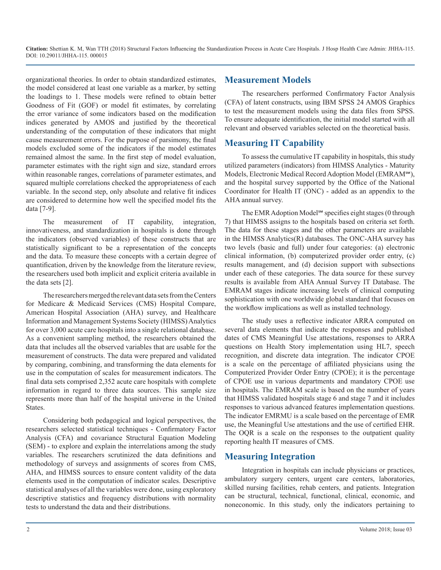**Citation:** Shettian K. M, Wan TTH (2018) Structural Factors Influencing the Standardization Process in Acute Care Hospitals. J Hosp Health Care Admin: JHHA-115. DOI: 10.29011/JHHA-115. 000015

organizational theories. In order to obtain standardized estimates, the model considered at least one variable as a marker, by setting the loadings to 1. These models were refined to obtain better Goodness of Fit (GOF) or model fit estimates, by correlating the error variance of some indicators based on the modification indices generated by AMOS and justified by the theoretical understanding of the computation of these indicators that might cause measurement errors. For the purpose of parsimony, the final models excluded some of the indicators if the model estimates remained almost the same. In the first step of model evaluation, parameter estimates with the right sign and size, standard errors within reasonable ranges, correlations of parameter estimates, and squared multiple correlations checked the appropriateness of each variable. In the second step, only absolute and relative fit indices are considered to determine how well the specified model fits the data [7-9].

The measurement of IT capability, integration, innovativeness, and standardization in hospitals is done through the indicators (observed variables) of these constructs that are statistically significant to be a representation of the concepts and the data. To measure these concepts with a certain degree of quantification, driven by the knowledge from the literature review, the researchers used both implicit and explicit criteria available in the data sets [2].

The researchers merged the relevant data sets from the Centers for Medicare & Medicaid Services (CMS) Hospital Compare, American Hospital Association (AHA) survey, and Healthcare Information and Management Systems Society (HIMSS) Analytics for over 3,000 acute care hospitals into a single relational database. As a convenient sampling method, the researchers obtained the data that includes all the observed variables that are usable for the measurement of constructs. The data were prepared and validated by comparing, combining, and transforming the data elements for use in the computation of scales for measurement indicators. The final data sets comprised 2,352 acute care hospitals with complete information in regard to three data sources. This sample size represents more than half of the hospital universe in the United States.

Considering both pedagogical and logical perspectives, the researchers selected statistical techniques - Confirmatory Factor Analysis (CFA) and covariance Structural Equation Modeling (SEM) - to explore and explain the interrelations among the study variables. The researchers scrutinized the data definitions and methodology of surveys and assignments of scores from CMS, AHA, and HIMSS sources to ensure content validity of the data elements used in the computation of indicator scales. Descriptive statistical analyses of all the variables were done, using exploratory descriptive statistics and frequency distributions with normality tests to understand the data and their distributions.

#### **Measurement Models**

The researchers performed Confirmatory Factor Analysis (CFA) of latent constructs, using IBM SPSS 24 AMOS Graphics to test the measurement models using the data files from SPSS. To ensure adequate identification, the initial model started with all relevant and observed variables selected on the theoretical basis.

#### **Measuring IT Capability**

To assess the cumulative IT capability in hospitals, this study utilized parameters (indicators) from HIMSS Analytics - Maturity Models, Electronic Medical Record Adoption Model (EMRAM℠), and the hospital survey supported by the Office of the National Coordinator for Health IT (ONC) - added as an appendix to the AHA annual survey.

The EMR Adoption Model℠ specifies eight stages (0 through 7) that HIMSS assigns to the hospitals based on criteria set forth. The data for these stages and the other parameters are available in the HIMSS Analytics(R) databases. The ONC-AHA survey has two levels (basic and full) under four categories: (a) electronic clinical information, (b) computerized provider order entry, (c) results management, and (d) decision support with subsections under each of these categories. The data source for these survey results is available from AHA Annual Survey IT Database. The EMRAM stages indicate increasing levels of clinical computing sophistication with one worldwide global standard that focuses on the workflow implications as well as installed technology.

The study uses a reflective indicator ARRA computed on several data elements that indicate the responses and published dates of CMS Meaningful Use attestations, responses to ARRA questions on Health Story implementation using HL7, speech recognition, and discrete data integration. The indicator CPOE is a scale on the percentage of affiliated physicians using the Computerized Provider Order Entry (CPOE); it is the percentage of CPOE use in various departments and mandatory CPOE use in hospitals. The EMRAM scale is based on the number of years that HIMSS validated hospitals stage 6 and stage 7 and it includes responses to various advanced features implementation questions. The indicator EMRMU is a scale based on the percentage of EMR use, the Meaningful Use attestations and the use of certified EHR. The OQR is a scale on the responses to the outpatient quality reporting health IT measures of CMS.

#### **Measuring Integration**

Integration in hospitals can include physicians or practices, ambulatory surgery centers, urgent care centers, laboratories, skilled nursing facilities, rehab centers, and patients. Integration can be structural, technical, functional, clinical, economic, and noneconomic. In this study, only the indicators pertaining to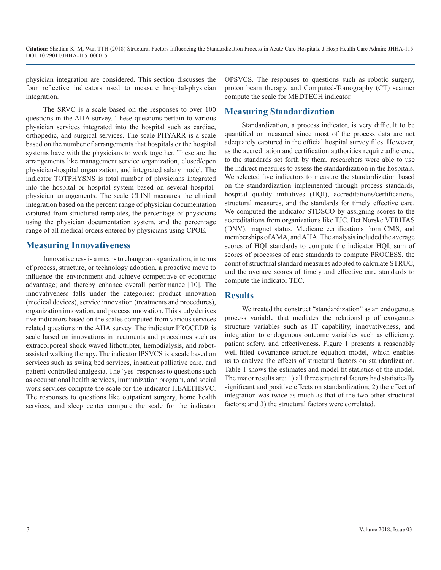physician integration are considered. This section discusses the four reflective indicators used to measure hospital-physician integration.

The SRVC is a scale based on the responses to over 100 questions in the AHA survey. These questions pertain to various physician services integrated into the hospital such as cardiac, orthopedic, and surgical services. The scale PHYARR is a scale based on the number of arrangements that hospitals or the hospital systems have with the physicians to work together. These are the arrangements like management service organization, closed/open physician-hospital organization, and integrated salary model. The indicator TOTPHYSNS is total number of physicians integrated into the hospital or hospital system based on several hospitalphysician arrangements. The scale CLINI measures the clinical integration based on the percent range of physician documentation captured from structured templates, the percentage of physicians using the physician documentation system, and the percentage range of all medical orders entered by physicians using CPOE.

#### **Measuring Innovativeness**

Innovativeness is a means to change an organization, in terms of process, structure, or technology adoption, a proactive move to influence the environment and achieve competitive or economic advantage; and thereby enhance overall performance [10]. The innovativeness falls under the categories: product innovation (medical devices), service innovation (treatments and procedures), organization innovation, and process innovation. This study derives five indicators based on the scales computed from various services related questions in the AHA survey. The indicator PROCEDR is scale based on innovations in treatments and procedures such as extracorporeal shock waved lithotripter, hemodialysis, and robotassisted walking therapy. The indicator IPSVCS is a scale based on services such as swing bed services, inpatient palliative care, and patient-controlled analgesia. The 'yes' responses to questions such as occupational health services, immunization program, and social work services compute the scale for the indicator HEALTHSVC. The responses to questions like outpatient surgery, home health services, and sleep center compute the scale for the indicator

OPSVCS. The responses to questions such as robotic surgery, proton beam therapy, and Computed-Tomography (CT) scanner compute the scale for MEDTECH indicator.

#### **Measuring Standardization**

Standardization, a process indicator, is very difficult to be quantified or measured since most of the process data are not adequately captured in the official hospital survey files. However, as the accreditation and certification authorities require adherence to the standards set forth by them, researchers were able to use the indirect measures to assess the standardization in the hospitals. We selected five indicators to measure the standardization based on the standardization implemented through process standards, hospital quality initiatives (HQI), accreditations/certifications, structural measures, and the standards for timely effective care. We computed the indicator STDSCO by assigning scores to the accreditations from organizations like TJC, Det Norske VERITAS (DNV), magnet status, Medicare certifications from CMS, and memberships of AMA, and AHA. The analysis included the average scores of HQI standards to compute the indicator HQI, sum of scores of processes of care standards to compute PROCESS, the count of structural standard measures adopted to calculate STRUC, and the average scores of timely and effective care standards to compute the indicator TEC.

#### **Results**

We treated the construct "standardization" as an endogenous process variable that mediates the relationship of exogenous structure variables such as IT capability, innovativeness, and integration to endogenous outcome variables such as efficiency, patient safety, and effectiveness. Figure 1 presents a reasonably well-fitted covariance structure equation model, which enables us to analyze the effects of structural factors on standardization. Table 1 shows the estimates and model fit statistics of the model. The major results are: 1) all three structural factors had statistically significant and positive effects on standardization; 2) the effect of integration was twice as much as that of the two other structural factors; and 3) the structural factors were correlated.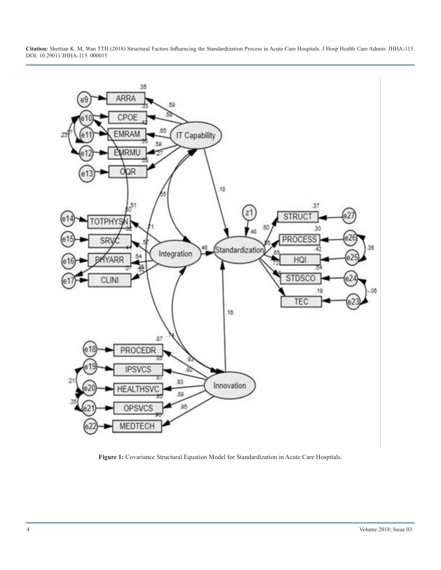**Citation:** Shettian K. M, Wan TTH (2018) Structural Factors Influencing the Standardization Process in Acute Care Hospitals. J Hosp Health Care Admin: JHHA-115. DOI: 10.29011/JHHA-115. 000015



**Figure 1:** Covariance Structural Equation Model for Standardization in Acute Care Hospitals.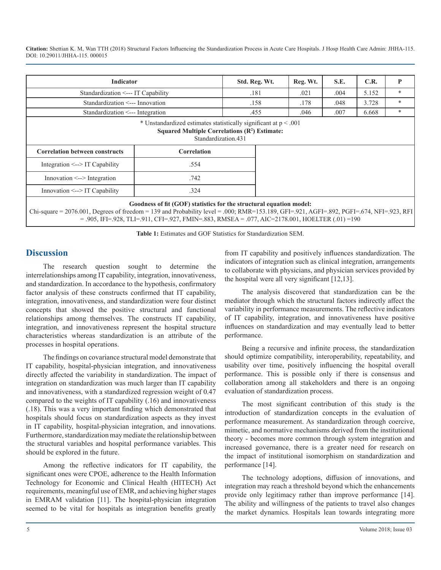**Citation:** Shettian K. M, Wan TTH (2018) Structural Factors Influencing the Standardization Process in Acute Care Hospitals. J Hosp Health Care Admin: JHHA-115. DOI: 10.29011/JHHA-115. 000015

| Indicator                             |                                                                                       | Std. Reg. Wt. | Reg. Wt. | S.E. | C.R.  | P |
|---------------------------------------|---------------------------------------------------------------------------------------|---------------|----------|------|-------|---|
| Standardization <--- IT Capability    |                                                                                       | .181          | .021     | .004 | 5.152 | * |
| Standardization <--- Innovation       |                                                                                       | .158          | .178     | .048 | 3.728 | * |
| Standardization <--- Integration      |                                                                                       | .455          | .046     | .007 | 6.668 | * |
| <b>Correlation between constructs</b> | Squared Multiple Correlations $(R^2)$ Estimate:<br>Standardization.431<br>Correlation |               |          |      |       |   |
|                                       |                                                                                       |               |          |      |       |   |
| Integration $\leq$ -> IT Capability   | .554                                                                                  |               |          |      |       |   |
| $In novation \leq~$ -> Integration    | .742                                                                                  |               |          |      |       |   |
| $Innovation < -$ IT Capability        | .324                                                                                  |               |          |      |       |   |

OO0; RMR=153.189, GFI=.921, AGFI=.  $= 0.905$ , IFI=.928, TLI=.911, CFI=.927, FMIN=.883, RMSEA = .077, AIC=2178.001, HOELTER (.01) =190

**Table 1:** Estimates and GOF Statistics for Standardization SEM.

### **Discussion**

The research question sought to determine the interrelationships among IT capability, integration, innovativeness, and standardization. In accordance to the hypothesis, confirmatory factor analysis of these constructs confirmed that IT capability, integration, innovativeness, and standardization were four distinct concepts that showed the positive structural and functional relationships among themselves. The constructs IT capability, integration, and innovativeness represent the hospital structure characteristics whereas standardization is an attribute of the processes in hospital operations.

The findings on covariance structural model demonstrate that IT capability, hospital-physician integration, and innovativeness directly affected the variability in standardization. The impact of integration on standardization was much larger than IT capability and innovativeness, with a standardized regression weight of 0.47 compared to the weights of IT capability (.16) and innovativeness (.18). This was a very important finding which demonstrated that hospitals should focus on standardization aspects as they invest in IT capability, hospital-physician integration, and innovations. Furthermore, standardization may mediate the relationship between the structural variables and hospital performance variables. This should be explored in the future.

Among the reflective indicators for IT capability, the significant ones were CPOE, adherence to the Health Information Technology for Economic and Clinical Health (HITECH) Act requirements, meaningful use of EMR, and achieving higher stages in EMRAM validation [11]. The hospital-physician integration seemed to be vital for hospitals as integration benefits greatly

from IT capability and positively influences standardization. The indicators of integration such as clinical integration, arrangements to collaborate with physicians, and physician services provided by the hospital were all very significant [12,13].

The analysis discovered that standardization can be the mediator through which the structural factors indirectly affect the variability in performance measurements. The reflective indicators of IT capability, integration, and innovativeness have positive influences on standardization and may eventually lead to better performance.

Being a recursive and infinite process, the standardization should optimize compatibility, interoperability, repeatability, and usability over time, positively influencing the hospital overall performance. This is possible only if there is consensus and collaboration among all stakeholders and there is an ongoing evaluation of standardization process.

The most significant contribution of this study is the introduction of standardization concepts in the evaluation of performance measurement. As standardization through coercive, mimetic, and normative mechanisms derived from the institutional theory - becomes more common through system integration and increased governance, there is a greater need for research on the impact of institutional isomorphism on standardization and performance [14].

The technology adoptions, diffusion of innovations, and integration may reach a threshold beyond which the enhancements provide only legitimacy rather than improve performance [14]. The ability and willingness of the patients to travel also changes the market dynamics. Hospitals lean towards integrating more